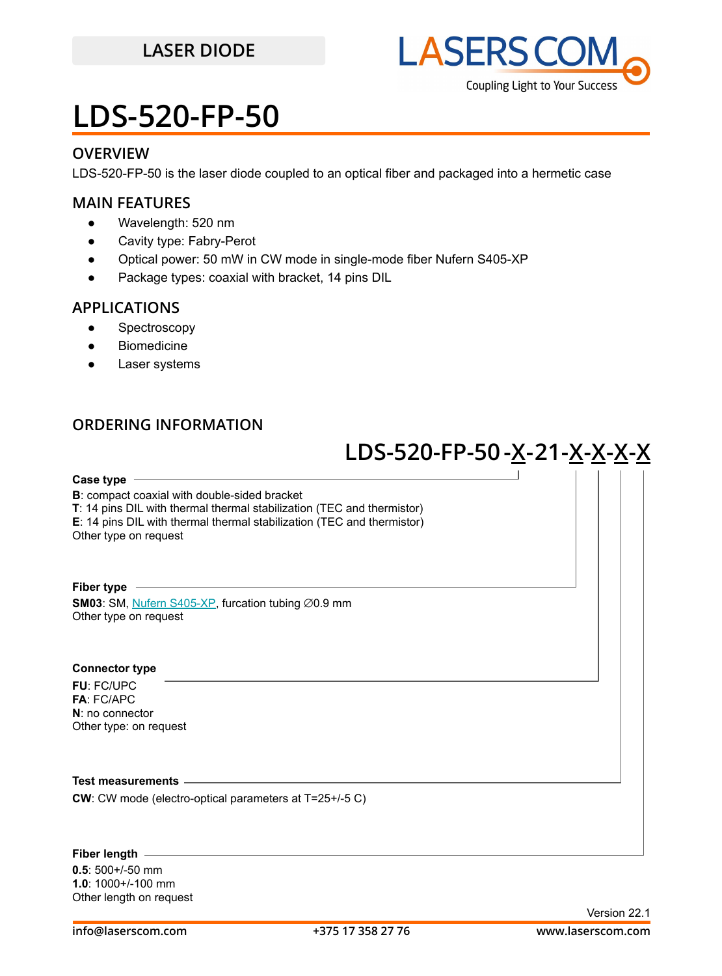### **LASER DIODE**



## **LDS-520-FP-50**

### **OVERVIEW**

LDS-520-FP-50 is the laser diode coupled to an optical fiber and packaged into a hermetic case

### **MAIN FEATURES**

- Wavelength: 520 nm
- Cavity type: Fabry-Perot
- Optical power: 50 mW in CW mode in single-mode fiber Nufern S405-XP
- Package types: coaxial with bracket, 14 pins DIL

### **APPLICATIONS**

- Spectroscopy
- **Biomedicine**
- Laser systems

### **ORDERING INFORMATION**

## **LDS-520-FP-50-X-21-X-X-X-X**

**Case type**

**B**: compact coaxial with double-sided bracket

**T**: 14 pins DIL with thermal thermal stabilization (TEC and thermistor)

**E**: 14 pins DIL with thermal thermal stabilization (TEC and thermistor)

Other type on request

**Fiber type SM03**: SM, [Nufern S405-XP](https://drive.google.com/file/d/1VQ4Ue6HdQCdYzJC_cgBEteY-ZzGguMDV/view?usp=sharing), furcation tubing ∅0.9 mm Other type on request

#### **Connector type**

**FU**: FC/UPC **FA**: FC/APC **N**: no connector Other type: on request

#### **Test measurements**

**CW**: CW mode (electro-optical parameters at T=25+/-5 C)

### **Fiber length**

**0.5**: 500+/-50 mm **1.0**: 1000+/-100 mm Other length on request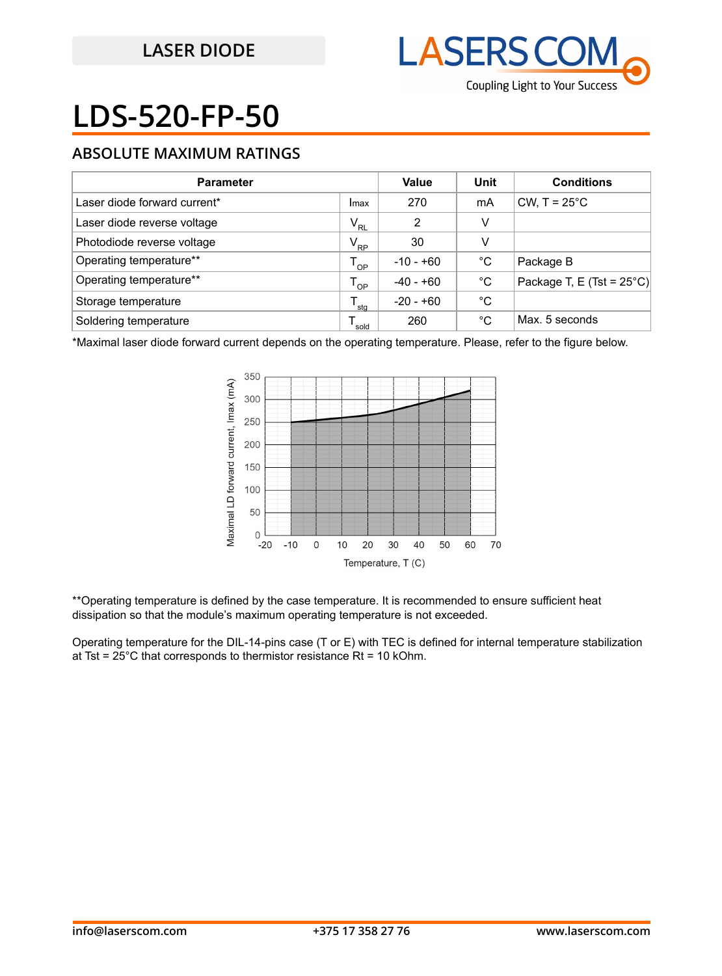

# **LDS-520-FP-50**

### **ABSOLUTE MAXIMUM RATINGS**

| <b>Parameter</b>             |              | Value       | Unit | <b>Conditions</b>                   |
|------------------------------|--------------|-------------|------|-------------------------------------|
| Laser diode forward current* | Imax         | 270         | mA   | CW, $T = 25^{\circ}$ C              |
| Laser diode reverse voltage  | $V_{RL}$     | 2           | v    |                                     |
| Photodiode reverse voltage   | $V_{\rm RP}$ | 30          | v    |                                     |
| Operating temperature**      | $T_{OP}$     | $-10 - +60$ | °C   | Package B                           |
| Operating temperature**      | $T_{OP}$     | $-40 - +60$ | °C   | Package T, E (Tst = $25^{\circ}$ C) |
| Storage temperature          | sta          | $-20 - +60$ | °C   |                                     |
| Soldering temperature        | sold         | 260         | °C   | Max. 5 seconds                      |

\*Maximal laser diode forward current depends on the operating temperature. Please, refer to the figure below.



\*\*Operating temperature is defined by the case temperature. It is recommended to ensure sufficient heat dissipation so that the module's maximum operating temperature is not exceeded.

Operating temperature for the DIL-14-pins case (T or E) with TEC is defined for internal temperature stabilization at Tst =  $25^{\circ}$ C that corresponds to thermistor resistance Rt = 10 kOhm.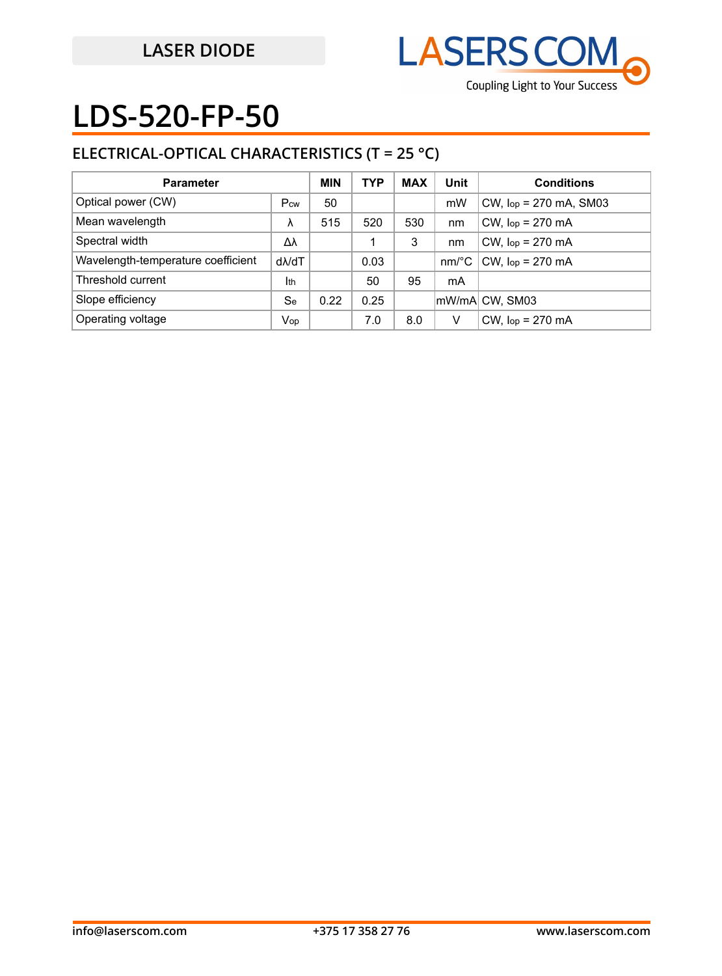

# **LDS-520-FP-50**

## **ELECTRICAL-OPTICAL CHARACTERISTICS (T = 25 °C)**

| <b>Parameter</b>                   |                   | <b>MIN</b> | <b>TYP</b> | <b>MAX</b> | Unit     | <b>Conditions</b>           |
|------------------------------------|-------------------|------------|------------|------------|----------|-----------------------------|
| Optical power (CW)                 | Pcw               | 50         |            |            | mW       | $CW$ , $lop = 270$ mA, SM03 |
| Mean wavelength                    | λ                 | 515        | 520        | 530        | nm       | $CW$ , $lop = 270$ mA       |
| Spectral width                     | Δλ                |            |            | 3          | nm       | $CW$ , $lop = 270$ mA       |
| Wavelength-temperature coefficient | d <sub>M</sub> dT |            | 0.03       |            | $nm$ /°C | $CW$ , $lop = 270$ mA       |
| Threshold current                  | Ith               |            | 50         | 95         | mA       |                             |
| Slope efficiency                   | Se                | 0.22       | 0.25       |            |          | mW/mA CW, SM03              |
| Operating voltage                  | Vop               |            | 7.0        | 8.0        | V        | $CW$ , $lop = 270$ mA       |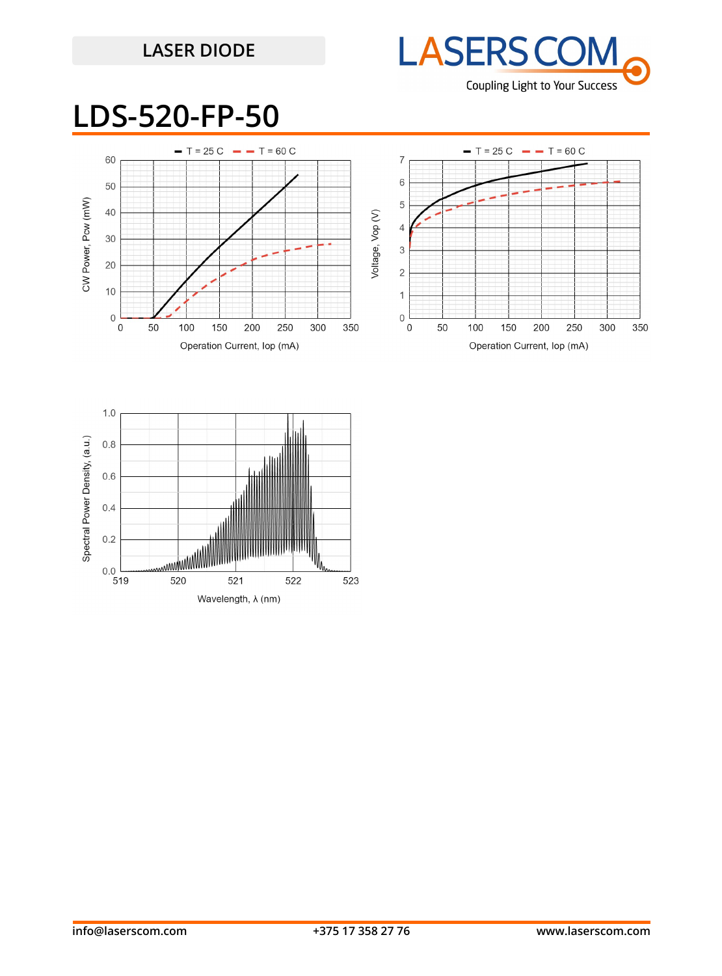## **LASER DIODE**



## **LDS-520-FP-50**



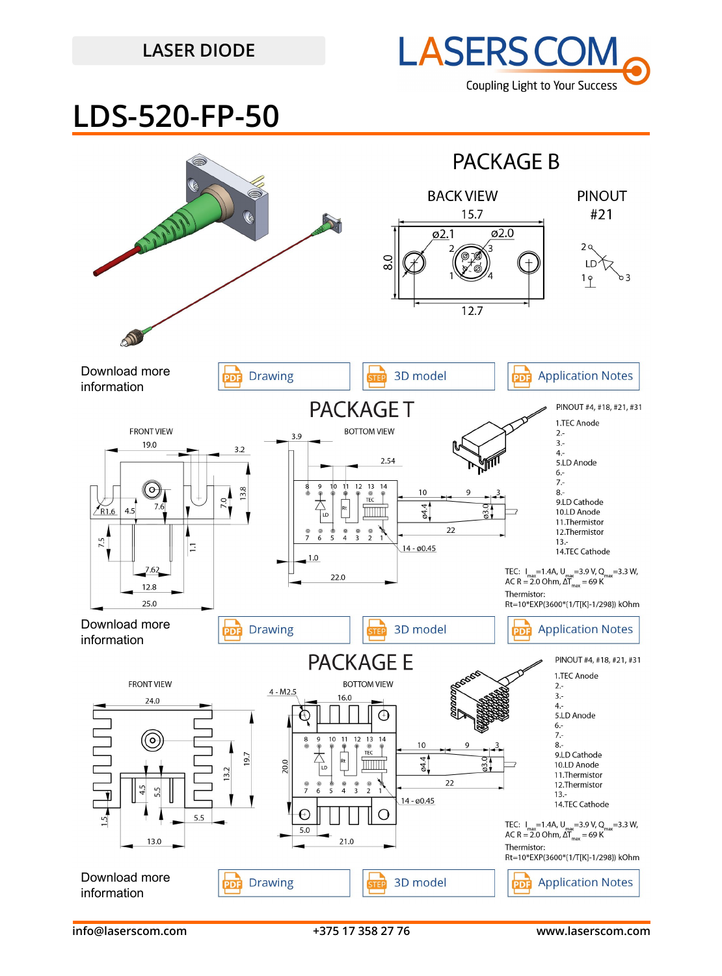### **LASER DIODE**



## **LDS-520-FP-50**